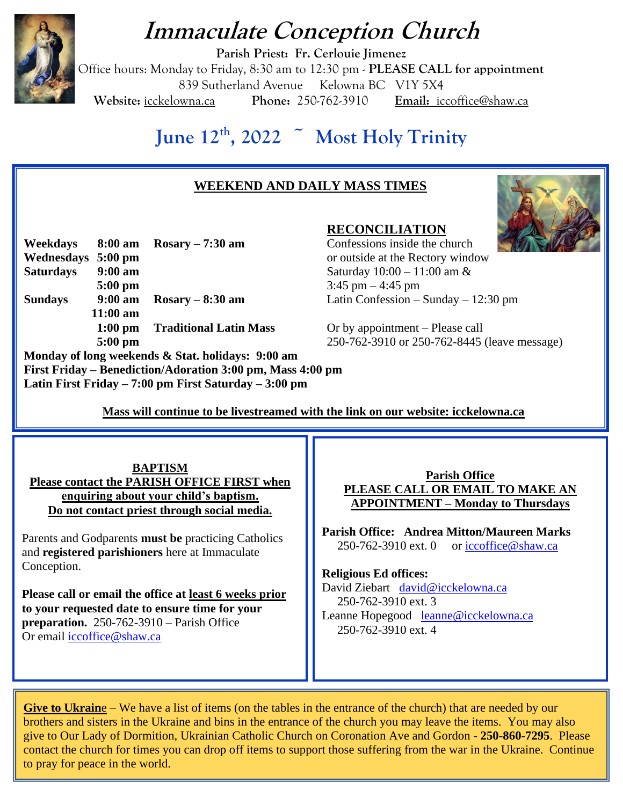# **Immaculate Conception Church**



**Parish Priest: Fr. Cerlouie Jimenez** Office hours: Monday to Friday, 8:30 am to 12:30 pm - **PLEASE CALL for appointment** 839 Sutherland Avenue Kelowna BC V1Y 5X4 **Website:** icckelowna.ca **Phone:** 250-762-3910 **Email:** iccoffice@shaw.ca

# **June 12th, 2022 ~ Most Holy Trinity**

## **WEEKEND AND DAILY MASS TIMES**



**Weekdays 8:00 am Rosary – 7:30 am** Confessions inside the church **Wednesdays 5:00 pm** or outside at the Rectory window **Saturdays 9:00 am** Saturday 10:00 – 11:00 am & **5:00 pm** <br>**9:00 am Rosary – 8:30 am** <br>**1.45 pm** – 4:45 pm<br>**1.45 pm** – 4:45 pm **Sundays 9:00 am Rosary – 8:30 am** Latin Confession – Sunday – 12:30 pm **11:00 am 1:00 pm Traditional Latin Mass** Or by appointment – Please call **Monday of long weekends & Stat. holidays: 9:00 am**

**RECONCILIATION**

**5:00 pm** 250-762-3910 or 250-762-8445 (leave message)

 **Mass will continue to be livestreamed with the link on our website: icckelowna.ca** 

**BAPTISM Please contact the PARISH OFFICE FIRST when enquiring about your child's baptism. Do not contact priest through social media.** 

**First Friday – Benediction/Adoration 3:00 pm, Mass 4:00 pm**

**Latin First Friday – 7:00 pm First Saturday – 3:00 pm**

Parents and Godparents **must be** practicing Catholics and **registered parishioners** here at Immaculate Conception.

**Please call or email the office at least 6 weeks prior to your requested date to ensure time for your preparation.** 250-762-3910 – Parish Office Or email [iccoffice@shaw.ca](mailto:iccoffice@shaw.ca) 

**Parish Office PLEASE CALL OR EMAIL TO MAKE AN APPOINTMENT – Monday to Thursdays**

**Parish Office: Andrea Mitton/Maureen Marks**   $250-762-3910$  ext. 0 or [iccoffice@shaw.ca](mailto:iccoffice@shaw.ca)

#### **Religious Ed offices:**

David Ziebart david@icckelowna.ca 250-762-3910 ext. 3 Leanne Hopegood [leanne@icckelowna.ca](mailto:leanne@icckelowna.ca) 250-762-3910 ext. 4

**Give to Ukraine** – We have a list of items (on the tables in the entrance of the church) that are needed by our brothers and sisters in the Ukraine and bins in the entrance of the church you may leave the items. You may also give to Our Lady of Dormition, Ukrainian Catholic Church on Coronation Ave and Gordon - **250-860-7295**. Please contact the church for times you can drop off items to support those suffering from the war in the Ukraine. Continue to pray for peace in the world.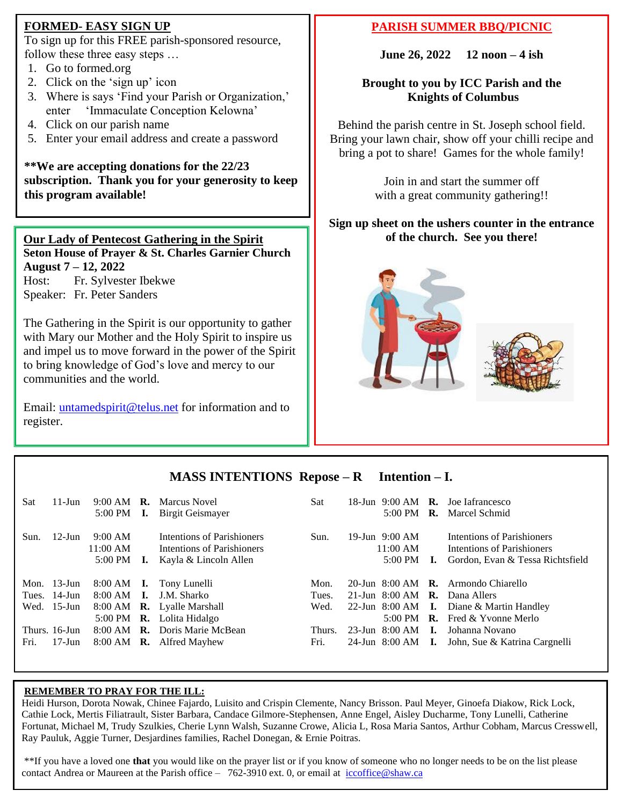### **FORMED- EASY SIGN UP**

To sign up for this FREE parish-sponsored resource, follow these three easy steps …

- 1. Go to formed.org
- 2. Click on the 'sign up' icon
- 3. Where is says 'Find your Parish or Organization,' enter 'Immaculate Conception Kelowna'
- 4. Click on our parish name
- 5. Enter your email address and create a password

**\*\*We are accepting donations for the 22/23 subscription. Thank you for your generosity to keep this program available!**

#### **Our Lady of Pentecost Gathering in the Spirit Seton House of Prayer & St. Charles Garnier Church August 7 – 12, 2022** Host: Fr. Sylvester Ibekwe Speaker: Fr. Peter Sanders

The Gathering in the Spirit is our opportunity to gather with Mary our Mother and the Holy Spirit to inspire us and impel us to move forward in the power of the Spirit to bring knowledge of God's love and mercy to our communities and the world.

Email: [untamedspirit@telus.net](mailto:untamedspirit@telus.net) for information and to register.

### **PARISH SUMMER BBQ/PICNIC**

**June 26, 2022 12 noon – 4 ish**

#### **Brought to you by ICC Parish and the Knights of Columbus**

Behind the parish centre in St. Joseph school field. Bring your lawn chair, show off your chilli recipe and bring a pot to share! Games for the whole family!

> Join in and start the summer off with a great community gathering!!

#### **Sign up sheet on the ushers counter in the entrance of the church. See you there!**





### **MASS INTENTIONS Repose – R Intention – I.**

| Sat  | $11$ -Jun      | 5:00 PM                                  | L.             | 9:00 AM <b>R.</b> Marcus Novel<br>Birgit Geismayer                                | Sat    | 5:00 PM $\,$ R.                           |      | 18-Jun $9:00 \text{ AM}$ R. Joe Iafrancesco<br>Marcel Schmid                                 |
|------|----------------|------------------------------------------|----------------|-----------------------------------------------------------------------------------|--------|-------------------------------------------|------|----------------------------------------------------------------------------------------------|
| Sun. | $12$ -Jun      | 9:00 AM<br>11:00 AM<br>$5:00 \text{ PM}$ | ı.             | Intentions of Parishioners<br>Intentions of Parishioners<br>Kayla & Lincoln Allen | Sun.   | 19-Jun $9:00$ AM<br>$11:00$ AM<br>5:00 PM | - I. | Intentions of Parishioners<br>Intentions of Parishioners<br>Gordon, Evan & Tessa Richtsfield |
|      | Mon. $13$ -Jun | $8:00 \text{ AM}$ I.                     |                | Tony Lunelli                                                                      | Mon.   |                                           |      | 20-Jun 8:00 AM $\,$ R. Armondo Chiarello                                                     |
|      | Tues. 14-Jun   | 8:00 AM                                  | $\mathbf{I}$ . | J.M. Sharko                                                                       | Tues.  | 21-Jun 8:00 AM <b>R.</b>                  |      | Dana Allers                                                                                  |
|      | Wed. 15-Jun    |                                          |                | 8:00 AM <b>R.</b> Lyalle Marshall                                                 | Wed.   | 22-Jun 8:00 AM $\;$ I.                    |      | Diane & Martin Handley                                                                       |
|      |                |                                          |                | 5:00 PM <b>R.</b> Lolita Hidalgo                                                  |        | $5:00 \text{ PM}$                         |      | <b>R.</b> Fred $\&$ Yvonne Merlo                                                             |
|      |                |                                          |                |                                                                                   |        |                                           |      |                                                                                              |
|      | Thurs. 16-Jun  |                                          |                | 8:00 AM <b>R.</b> Doris Marie McBean                                              | Thurs. | 23-Jun 8:00 AM <b>I.</b>                  |      | Johanna Novano                                                                               |

#### **REMEMBER TO PRAY FOR THE ILL:**

 $\overline{a}$ 

Heidi Hurson, Dorota Nowak, Chinee Fajardo, Luisito and Crispin Clemente, Nancy Brisson. Paul Meyer, Ginoefa Diakow, Rick Lock, Cathie Lock, Mertis Filiatrault, Sister Barbara, Candace Gilmore-Stephensen, Anne Engel, Aisley Ducharme, Tony Lunelli, Catherine Fortunat, Michael M, Trudy Szulkies, Cherie Lynn Walsh, Suzanne Crowe, Alicia L, Rosa Maria Santos, Arthur Cobham, Marcus Cresswell, Ray Pauluk, Aggie Turner, Desjardines families, Rachel Donegan, & Ernie Poitras.

\*\*If you have a loved one **that** you would like on the prayer list or if you know of someone who no longer needs to be on the list please contact Andrea or Maureen at the Parish office – 762-3910 ext. 0, or email at [iccoffice@shaw.ca](mailto:iccoffice@shaw.ca)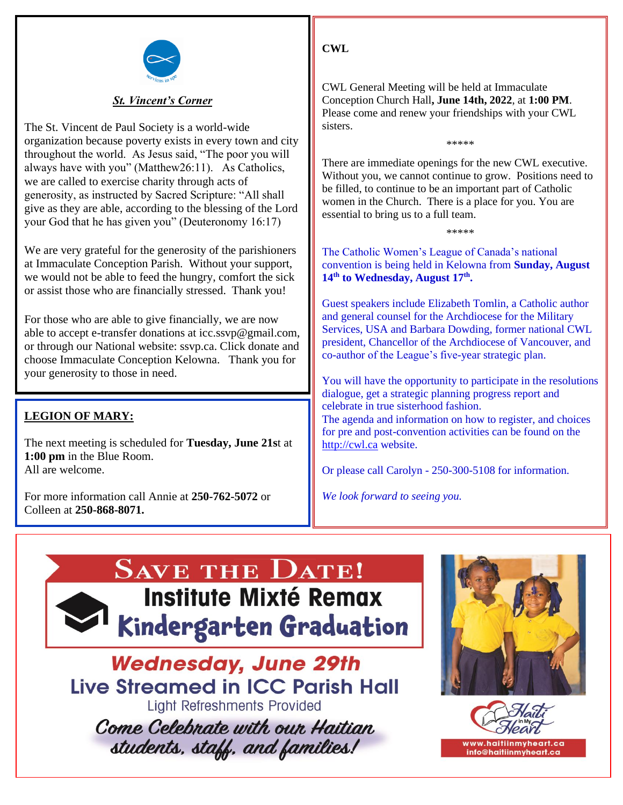

#### *St. Vincent's Corner*

The St. Vincent de Paul Society is a world-wide organization because poverty exists in every town and city throughout the world. As Jesus said, "The poor you will always have with you" (Matthew26:11). As Catholics, we are called to exercise charity through acts of generosity, as instructed by Sacred Scripture: "All shall give as they are able, according to the blessing of the Lord your God that he has given you" (Deuteronomy 16:17)

We are very grateful for the generosity of the parishioners at Immaculate Conception Parish. Without your support, we would not be able to feed the hungry, comfort the sick or assist those who are financially stressed. Thank you!

For those who are able to give financially, we are now able to accept e-transfer donations at icc.ssvp@gmail.com, or through our National website: ssvp.ca. Click donate and choose Immaculate Conception Kelowna. Thank you for your generosity to those in need.

### **LEGION OF MARY:**

The next meeting is scheduled for **Tuesday, June 21s**t at **1:00 pm** in the Blue Room. All are welcome.

For more information call Annie at **250-762-5072** or Colleen at **250-868-8071.**

**CWL**

CWL General Meeting will be held at Immaculate Conception Church Hall**, June 14th, 2022**, at **1:00 PM**. Please come and renew your friendships with your CWL sisters.

There are immediate openings for the new CWL executive. Without you, we cannot continue to grow. Positions need to be filled, to continue to be an important part of Catholic women in the Church. There is a place for you. You are essential to bring us to a full team.

\*\*\*\*\*

\*\*\*\*\*

The Catholic Women's League of Canada's national convention is being held in Kelowna from **Sunday, August 14th to Wednesday, August 17th .**

Guest speakers include Elizabeth Tomlin, a Catholic author and general counsel for the Archdiocese for the Military Services, USA and Barbara Dowding, former national CWL president, Chancellor of the Archdiocese of Vancouver, and co-author of the League's five-year strategic plan.

You will have the opportunity to participate in the resolutions dialogue, get a strategic planning progress report and celebrate in true sisterhood fashion.

The agenda and information on how to register, and choices for pre and post-convention activities can be found on the [http://cwl.ca](http://cwl.ca/) website.

Or please call Carolyn - 250-300-5108 for information.

*We look forward to seeing you.*

# **SAVE THE DATE! Institute Mixté Remax** Kindergarten Graduation

**Wednesday, June 29th Live Streamed in ICC Parish Hall Light Refreshments Provided** Come Celebrate with our Haitian students, staff, and families!



www.haitiinmvheart.ca info@haitiinmyheart.ca